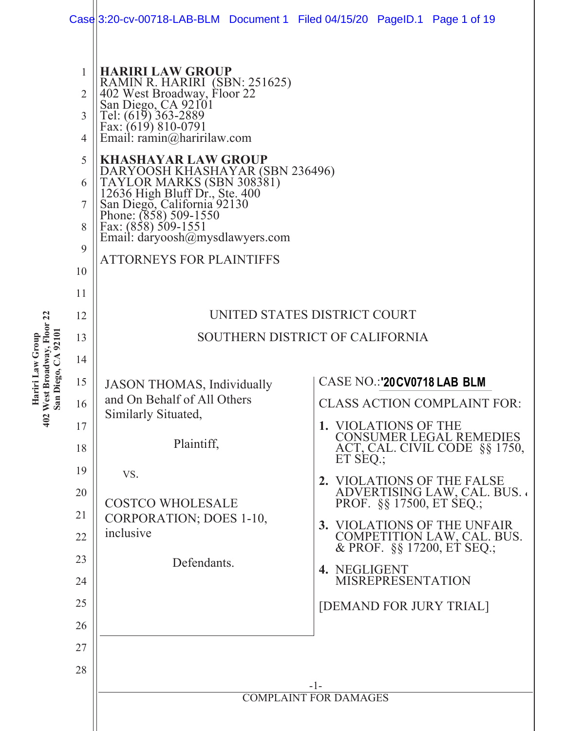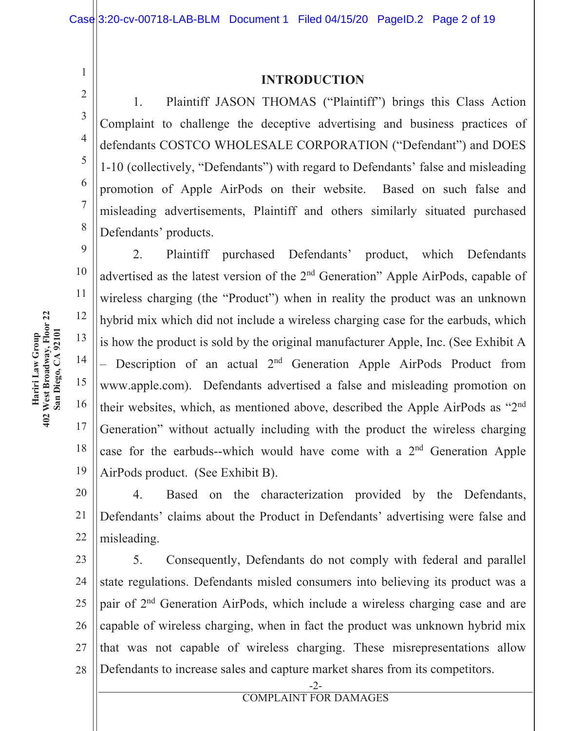#### **INTRODUCTION**

1. Plaintiff JASON THOMAS ("Plaintiff") brings this Class Action Complaint to challenge the deceptive advertising and business practices of defendants COSTCO WHOLESALE CORPORATION ("Defendant") and DOES 1-10 (collectively, "Defendants") with regard to Defendants' false and misleading promotion of Apple AirPods on their website. Based on such false and misleading advertisements, Plaintiff and others similarly situated purchased Defendants' products.

10 14 19 2. Plaintiff purchased Defendants' product, which Defendants advertised as the latest version of the 2<sup>nd</sup> Generation" Apple AirPods, capable of wireless charging (the "Product") when in reality the product was an unknown hybrid mix which did not include a wireless charging case for the earbuds, which is how the product is sold by the original manufacturer Apple, Inc. (See Exhibit A - Description of an actual 2<sup>nd</sup> Generation Apple AirPods Product from www.apple.com). Defendants advertised a false and misleading promotion on their websites, which, as mentioned above, described the Apple AirPods as "2<sup>nd</sup> Generation" without actually including with the product the wireless charging case for the earbuds--which would have come with a 2<sup>nd</sup> Generation Apple AirPods product. (See Exhibit B).

20 21 22 4. Based on the characterization provided by the Defendants, Defendants' claims about the Product in Defendants' advertising were false and misleading.

23 24 25 26 27 28 5. Consequently, Defendants do not comply with federal and parallel state regulations. Defendants misled consumers into believing its product was a pair of 2<sup>nd</sup> Generation AirPods, which include a wireless charging case and are capable of wireless charging, when in fact the product was unknown hybrid mix that was not capable of wireless charging. These misrepresentations allow Defendants to increase sales and capture market shares from its competitors.

 $\mathbf{1}$ 

 $\overline{2}$ 

3

 $\overline{4}$ 

5

6

 $\overline{7}$ 

8

9

11

12

13

15

16

17

18

 $-2-$ **COMPLAINT FOR DAMAGES**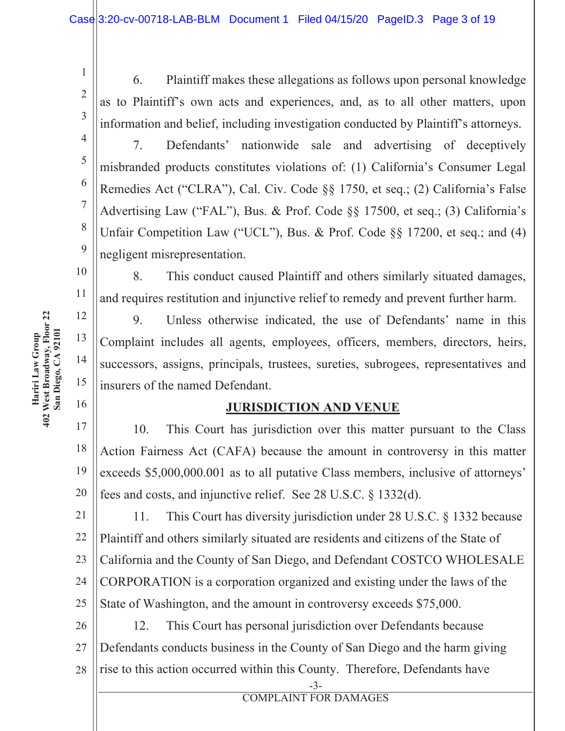6. Plaintiff makes these allegations as follows upon personal knowledge as to Plaintiff's own acts and experiences, and, as to all other matters, upon information and belief, including investigation conducted by Plaintiff's attorneys.

7. Defendants' nationwide sale and advertising of deceptively misbranded products constitutes violations of: (1) California's Consumer Legal Remedies Act ("CLRA"), Cal. Civ. Code §§ 1750, et seq.; (2) California's False Advertising Law ("FAL"), Bus. & Prof. Code §§ 17500, et seq.; (3) California's Unfair Competition Law ("UCL"), Bus. & Prof. Code  $\S$ § 17200, et seq.; and (4) negligent misrepresentation.

8. This conduct caused Plaintiff and others similarly situated damages, and requires restitution and injunctive relief to remedy and prevent further harm.

9. Unless otherwise indicated, the use of Defendants' name in this Complaint includes all agents, employees, officers, members, directors, heirs, successors, assigns, principals, trustees, sureties, subrogees, representatives and insurers of the named Defendant.

### **JURISDICTION AND VENUE**

17 18 19 20 10. This Court has jurisdiction over this matter pursuant to the Class Action Fairness Act (CAFA) because the amount in controversy in this matter exceeds \$5,000,000.001 as to all putative Class members, inclusive of attorneys' fees and costs, and injunctive relief. See  $28$  U.S.C.  $\S$  1332(d).

21 22 23 24 25 11. This Court has diversity jurisdiction under 28 U.S.C. § 1332 because Plaintiff and others similarly situated are residents and citizens of the State of California and the County of San Diego, and Defendant COSTCO WHOLESALE CORPORATION is a corporation organized and existing under the laws of the State of Washington, and the amount in controversy exceeds \$75,000.

26 27 28 12. This Court has personal jurisdiction over Defendants because Defendants conducts business in the County of San Diego and the harm giving rise to this action occurred within this County. Therefore, Defendants have

> $-3-$ **COMPLAINT FOR DAMAGES**

Hariri Law Group 402 West Broadway, **Floor 22 San Diego,** A 92101

 $\mathbf{1}$ 

 $\overline{2}$ 

3

 $\overline{4}$ 

5

6

 $\overline{7}$ 

8

 $\overline{Q}$ 

10

11

12

13

14

15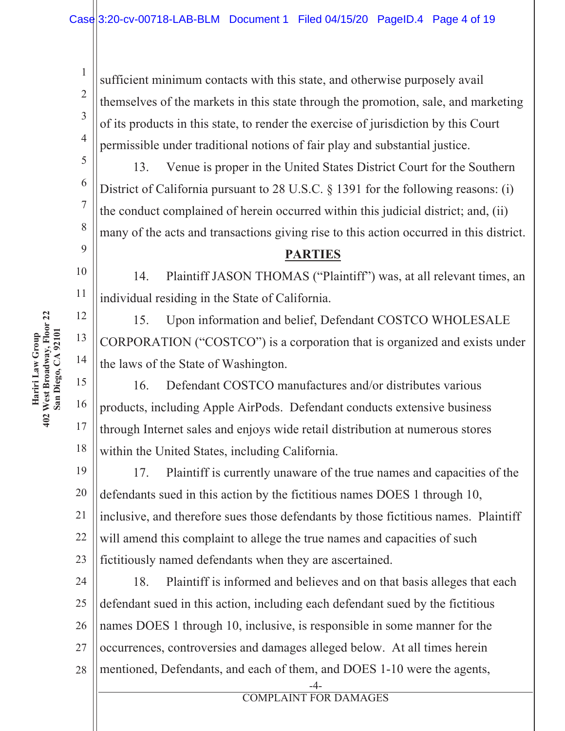sufficient minimum contacts with this state, and otherwise purposely avail themselves of the markets in this state through the promotion, sale, and marketing of its products in this state, to render the exercise of jurisdiction by this Court permissible under traditional notions of fair play and substantial justice.

13. Venue is proper in the United States District Court for the Southern District of California pursuant to 28 U.S.C.  $\S$  1391 for the following reasons: (i) the conduct complained of herein occurred within this judicial district; and, (ii) many of the acts and transactions giving rise to this action occurred in this district.

### **PARTIES**

14. Plaintiff JASON THOMAS ("Plaintiff") was, at all relevant times, an individual residing in the State of California.

15. Upon information and belief, Defendant COSTCO WHOLESALE CORPORATION ("COSTCO") is a corporation that is organized and exists under the laws of the State of Washington.

15 16 17 18 16. Defendant COSTCO manufactures and/or distributes various products, including Apple AirPods. Defendant conducts extensive business through Internet sales and enjoys wide retail distribution at numerous stores within the United States, including California.

19 20 21 22 23 17. Plaintiff is currently unaware of the true names and capacities of the defendants sued in this action by the fictitious names DOES 1 through 10, inclusive, and therefore sues those defendants by those fictitious names. Plaintiff will amend this complaint to allege the true names and capacities of such fictitiously named defendants when they are ascertained.

24 25 26 27 28 18. Plaintiff is informed and believes and on that basis alleges that each defendant sued in this action, including each defendant sued by the fictitious names DOES 1 through 10, inclusive, is responsible in some manner for the occurrences, controversies and damages alleged below. At all times herein mentioned, Defendants, and each of them, and DOES 1-10 were the agents,

Hariri Law Group 402 West Broadway, **Floor 22 San Diego,** A 92101

 $\mathbf{1}$ 

 $\overline{2}$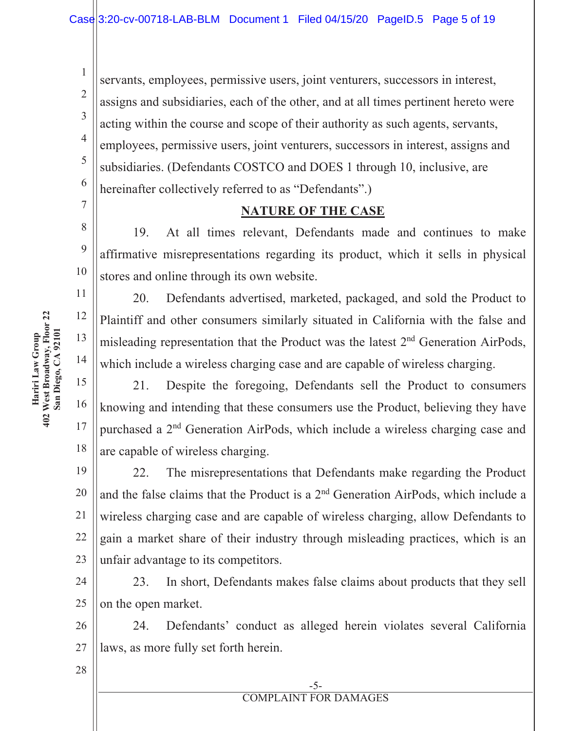servants, employees, permissive users, joint venturers, successors in interest, assigns and subsidiaries, each of the other, and at all times pertinent hereto were acting within the course and scope of their authority as such agents, servants, employees, permissive users, joint venturers, successors in interest, assigns and subsidiaries. (Defendants COSTCO and DOES 1 through 10, inclusive, are hereinafter collectively referred to as "Defendants".)

### **NATURE OF THE CASE**

19. At all times relevant, Defendants made and continues to make affirmative misrepresentations regarding its product, which it sells in physical stores and online through its own website.

20. Defendants advertised, marketed, packaged, and sold the Product to Plaintiff and other consumers similarly situated in California with the false and misleading representation that the Product was the latest 2<sup>nd</sup> Generation AirPods, which include a wireless charging case and are capable of wireless charging.

15 16 17 18 21. Despite the foregoing, Defendants sell the Product to consumers knowing and intending that these consumers use the Product, believing they have purchased a 2<sup>nd</sup> Generation AirPods, which include a wireless charging case and are capable of wireless charging.

19 20 21 22 23 22. The misrepresentations that Defendants make regarding the Product and the false claims that the Product is a 2<sup>nd</sup> Generation AirPods, which include a wireless charging case and are capable of wireless charging, allow Defendants to gain a market share of their industry through misleading practices, which is an unfair advantage to its competitors.

24 25 23. In short, Defendants makes false claims about products that they sell on the open market.

26 27 24. Defendants' conduct as alleged herein violates several California laws, as more fully set forth herein.

Hariri Law Group<br>402 West Broadway, Floor 22 **Floor 22** A 92101 Hariri Law Group 402 West Broadway,  **San Diego,**   $\mathbf{1}$ 

 $\overline{2}$ 

3

 $\overline{4}$ 

5

6

 $\tau$ 

8

9

10

11

12

13

14

--**COMPLAINT FOR DAMAGES**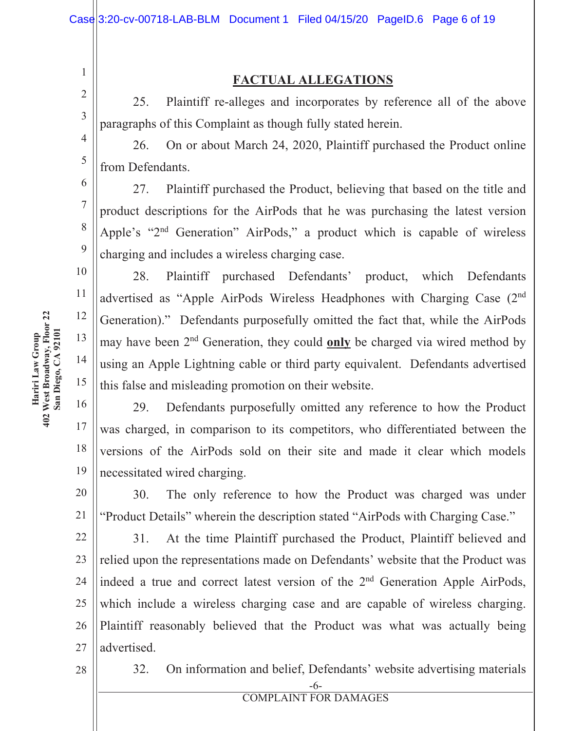### **FACTUAL ALLEGATIONS**

25. Plaintiff re-alleges and incorporates by reference all of the above paragraphs of this Complaint as though fully stated herein.

26. On or about March 24, 2020, Plaintiff purchased the Product online from Defendants.

27. Plaintiff purchased the Product, believing that based on the title and product descriptions for the AirPods that he was purchasing the latest version Apple's "2<sup>nd</sup> Generation" AirPods," a product which is capable of wireless charging and includes a wireless charging case.

28. Plaintiff purchased Defendants' product, which Defendants advertised as "Apple AirPods Wireless Headphones with Charging Case (2nd Generation)." Defendants purposefully omitted the fact that, while the AirPods may have been 2<sup>nd</sup> Generation, they could **only** be charged via wired method by using an Apple Lightning cable or third party equivalent. Defendants advertised this false and misleading promotion on their website.

29. Defendants purposefully omitted any reference to how the Product was charged, in comparison to its competitors, who differentiated between the versions of the AirPods sold on their site and made it clear which models necessitated wired charging.

20 21 30. The only reference to how the Product was charged was under "Product Details" wherein the description stated "AirPods with Charging Case."

22 23 24 25 26 27 31. At the time Plaintiff purchased the Product, Plaintiff believed and relied upon the representations made on Defendants' website that the Product was indeed a true and correct latest version of the  $2<sup>nd</sup>$  Generation Apple AirPods, which include a wireless charging case and are capable of wireless charging. Plaintiff reasonably believed that the Product was what was actually being advertised.

28

32. On information and belief, Defendants' website advertising materials

#### - - **COMPLAINT FOR DAMAGES**

Hariri Law Group 402 West Broadway, **Floor 22 San Diego,** A 92101

 $\mathbf{1}$ 

 $\overline{2}$ 

3

 $\overline{4}$ 

5

6

 $\overline{7}$ 

8

 $\mathbf{Q}$ 

10

11

12

13

14

15

16

17

18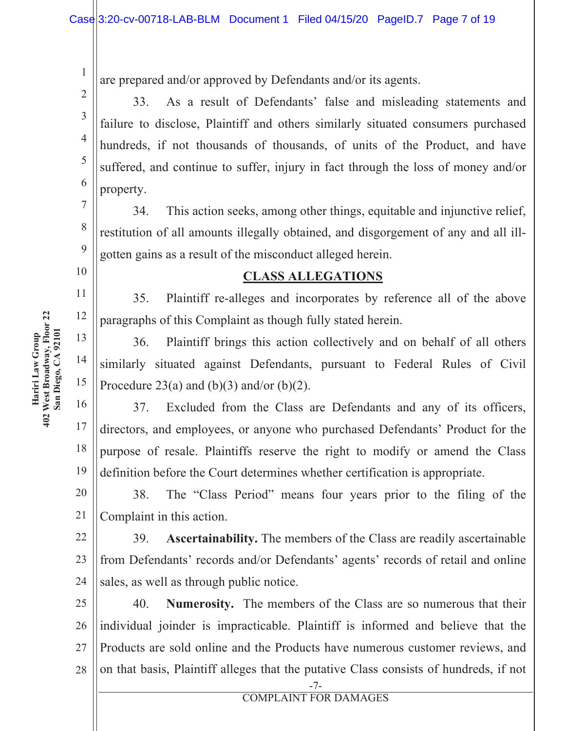are prepared and/or approved by Defendants and/or its agents.

33. As a result of Defendants' false and misleading statements and failure to disclose, Plaintiff and others similarly situated consumers purchased hundreds, if not thousands of thousands, of units of the Product, and have suffered, and continue to suffer, injury in fact through the loss of money and/or property.

34. This action seeks, among other things, equitable and injunctive relief, restitution of all amounts illegally obtained, and disgorgement of any and all illgotten gains as a result of the misconduct alleged herein.

### **CLASS ALLEGATIONS**

35. Plaintiff re-alleges and incorporates by reference all of the above paragraphs of this Complaint as though fully stated herein.

36. Plaintiff brings this action collectively and on behalf of all others similarly situated against Defendants, pursuant to Federal Rules of Civil Procedure 23(a) and (b)(3) and/or (b)(2).

16 17 18 19 37. Excluded from the Class are Defendants and any of its officers, directors, and employees, or anyone who purchased Defendants' Product for the purpose of resale. Plaintiffs reserve the right to modify or amend the Class definition before the Court determines whether certification is appropriate.

20 21 38. The "Class Period" means four years prior to the filing of the Complaint in this action.

22 23 24 **453** Ascertainability. The members of the Class are readily ascertainable from Defendants' records and/or Defendants' agents' records of retail and online sales, as well as through public notice.

25 26 27 28 40. **Numerosity.** The members of the Class are so numerous that their individual joinder is impracticable. Plaintiff is informed and believe that the Products are sold online and the Products have numerous customer reviews, and on that basis, Plaintiff alleges that the putative Class consists of hundreds, if not

 $\mathbf{1}$ 

 $\overline{2}$ 

3

 $\overline{4}$ 

5

6

7

8

 $\overline{Q}$ 

 $10<sup>1</sup>$ 

11

12

13

14

<sup>-</sup> - **COMPLAINT FOR DAMAGES**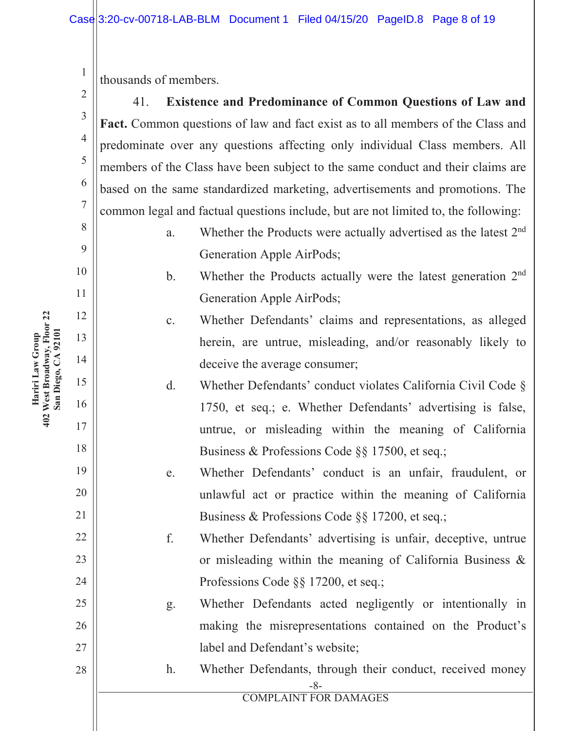thousands of members.

41. Existence and Predominance of Common Questions of Law and Fact. Common questions of law and fact exist as to all members of the Class and predominate over any questions affecting only individual Class members. All members of the Class have been subject to the same conduct and their claims are based on the same standardized marketing, advertisements and promotions. The common legal and factual questions include, but are not limited to, the following:

- a. Whether the Products were actually advertised as the latest 2<sup>nd</sup> Generation Apple AirPods;
- b. Whether the Products actually were the latest generation 2<sup>nd</sup> Generation Apple AirPods;

# c. Whether Defendants' claims and representations, as alleged herein, are untrue, misleading, and/or reasonably likely to deceive the average consumer;

- d. Whether Defendants' conduct violates California Civil Code  $\S$ 1750, et seq.; e. Whether Defendants' advertising is false, untrue, or misleading within the meaning of California Business & Professions Code  $\S$ § 17500, et seq.;
- e. Whether Defendants' conduct is an unfair, fraudulent, or unlawful act or practice within the meaning of California Business & Professions Code  $\S$ § 17200, et seq.;

f. Whether Defendants' advertising is unfair, deceptive, untrue or misleading within the meaning of California Business  $\&$ Professions Code  $\S$ § 17200, et seq.;

g. Whether Defendants acted negligently or intentionally in making the misrepresentations contained on the Product's label and Defendant's website:

- h. Whether Defendants, through their conduct, received money

**COMPLAINT FOR DAMAGES** 

**Floor 22** Hariri Law Group<br>402 West Broadway, Floor 22 A 92101 Hariri Law Group 402 West Broadway,  **San Diego,**  3  $\overline{4}$ 

5

6

 $\tau$ 

8

9

10

11

12

13

14

15

16

17

18

19

20

21

22

23

24

25

26

27

28

 $\mathbf{1}$ 

 $\overline{2}$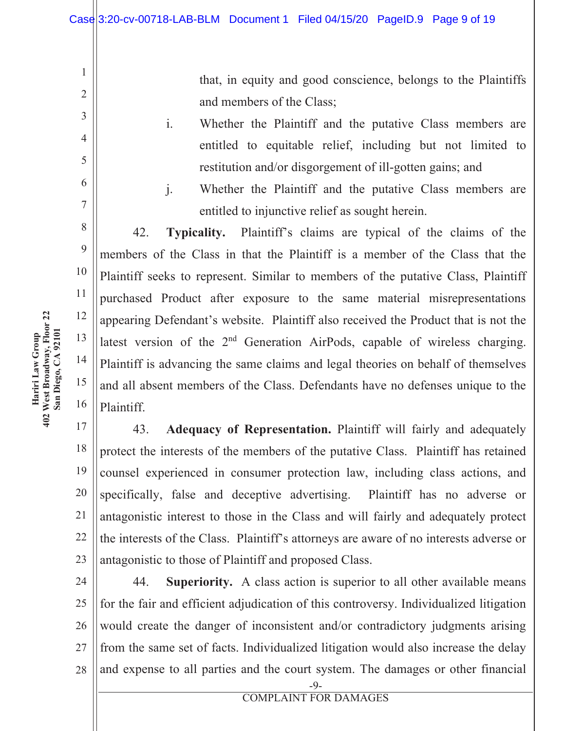that, in equity and good conscience, belongs to the Plaintiffs and members of the Class;

- i. Whether the Plaintiff and the putative Class members are entitled to equitable relief, including but not limited to restitution and/or disgorgement of ill-gotten gains; and
- i. Whether the Plaintiff and the putative Class members are entitled to injunctive relief as sought herein.

42. **Typicality.** Plaintiff's claims are typical of the claims of the members of the Class in that the Plaintiff is a member of the Class that the Plaintiff seeks to represent. Similar to members of the putative Class, Plaintiff purchased Product after exposure to the same material misrepresentations appearing Defendant's website. Plaintiff also received the Product that is not the latest version of the  $2<sup>nd</sup>$  Generation AirPods, capable of wireless charging. Plaintiff is advancing the same claims and legal theories on behalf of themselves and all absent members of the Class. Defendants have no defenses unique to the Plaintiff.

17 18 19 20 21 22 23 43. **Adequacy of Representation.** Plaintiff will fairly and adequately protect the interests of the members of the putative Class. Plaintiff has retained counsel experienced in consumer protection law, including class actions, and specifically, false and deceptive advertising. Plaintiff has no adverse or antagonistic interest to those in the Class and will fairly and adequately protect the interests of the Class. Plaintiff's attorneys are aware of no interests adverse or antagonistic to those of Plaintiff and proposed Class.

24 25 26 27 28 44. **Superiority.** A class action is superior to all other available means for the fair and efficient adjudication of this controversy. Individualized litigation would create the danger of inconsistent and/or contradictory judgments arising from the same set of facts. Individualized litigation would also increase the delay and expense to all parties and the court system. The damages or other financial

 $\mathbf{1}$ 

 $\overline{2}$ 

 $\overline{3}$ 

 $\overline{4}$ 

5

6

 $\overline{7}$ 

8

9

10

11

12

13

14

15

16

-- **COMPLAINT FOR DAMAGES**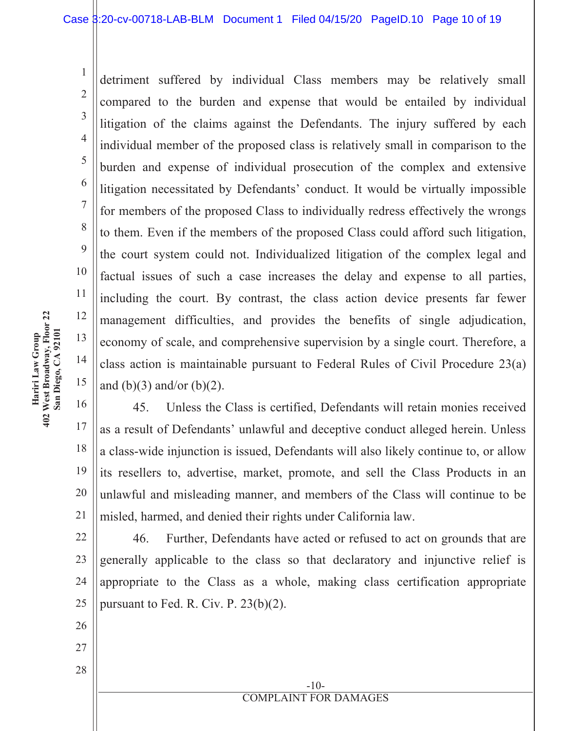detriment suffered by individual Class members may be relatively small compared to the burden and expense that would be entailed by individual litigation of the claims against the Defendants. The injury suffered by each individual member of the proposed class is relatively small in comparison to the burden and expense of individual prosecution of the complex and extensive litigation necessitated by Defendants' conduct. It would be virtually impossible for members of the proposed Class to individually redress effectively the wrongs to them. Even if the members of the proposed Class could afford such litigation, the court system could not. Individualized litigation of the complex legal and factual issues of such a case increases the delay and expense to all parties, including the court. By contrast, the class action device presents far fewer management difficulties, and provides the benefits of single adjudication, economy of scale, and comprehensive supervision by a single court. Therefore, a class action is maintainable pursuant to Federal Rules of Civil Procedure  $23(a)$ and (b)(3) and/or (b)(2).

16 17 18 19 20 21 45. Unless the Class is certified, Defendants will retain monies received as a result of Defendants' unlawful and deceptive conduct alleged herein. Unless a class-wide injunction is issued, Defendants will also likely continue to, or allow its resellers to, advertise, market, promote, and sell the Class Products in an unlawful and misleading manner, and members of the Class will continue to be misled, harmed, and denied their rights under California law.

22 23 24 25 46. Further, Defendants have acted or refused to act on grounds that are generally applicable to the class so that declaratory and injunctive relief is appropriate to the Class as a whole, making class certification appropriate pursuant to Fed. R. Civ. P.  $23(b)(2)$ .

> $-10-$ **COMPLAINT FOR DAMAGES**

Hariri Law Group<br>402 West Broadway, Floor 22 **Floor 22** A 92101 Hariri Law Group 402 West Broadway,  **San Diego,**   $\mathbf{1}$ 

 $\overline{2}$ 

3

 $\overline{4}$ 

5

6

 $\tau$ 

8

 $\mathbf{Q}$ 

10

11

12

13

14

15

26

27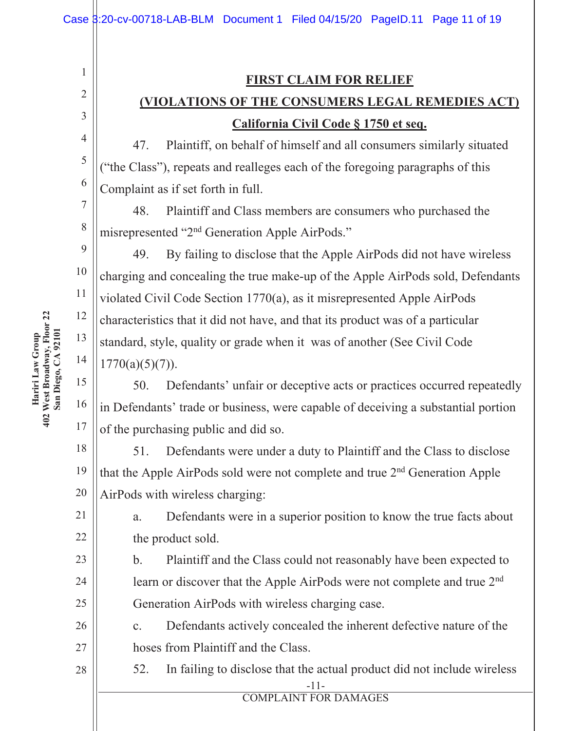### **FIRST CLAIM FOR RELIEF**

# **(VIOLATIONS OF THE CONSUMERS LEGAL REMEDIES ACT) California Civil Code § 1750 et seq.**

47. Plaintiff, on behalf of himself and all consumers similarly situated ("the Class"), repeats and realleges each of the foregoing paragraphs of this Complaint as if set forth in full.

48. Plaintiff and Class members are consumers who purchased the misrepresented "2<sup>nd</sup> Generation Apple AirPods."

49. By failing to disclose that the Apple AirPods did not have wireless charging and concealing the true make-up of the Apple AirPods sold, Defendants violated Civil Code Section 1770(a), as it misrepresented Apple AirPods characteristics that it did not have, and that its product was of a particular standard, style, quality or grade when it was of another (See Civil Code  $1770(a)(5)(7)$ ).

50. Defendants' unfair or deceptive acts or practices occurred repeatedly in Defendants' trade or business, were capable of deceiving a substantial portion of the purchasing public and did so.

18 19 20 51. Defendants were under a duty to Plaintiff and the Class to disclose that the Apple AirPods sold were not complete and true  $2<sup>nd</sup>$  Generation Apple AirPods with wireless charging:

a. Defendants were in a superior position to know the true facts about the product sold.

b. Plaintiff and the Class could not reasonably have been expected to learn or discover that the Apple AirPods were not complete and true 2<sup>nd</sup> Generation AirPods with wireless charging case.

c. Defendants actively concealed the inherent defective nature of the hoses from Plaintiff and the Class.

 $-11-$ 52. In failing to disclose that the actual product did not include wireless

**COMPLAINT FOR DAMAGES** 

Hariri Law Group<br>402 West Broadway, Floor 22 **Floor 22** A 92101 Hariri Law Group 402 West Broadway,  **San Diego,**   $\mathbf{1}$ 

 $\overline{2}$ 

3

 $\overline{4}$ 

5

6

 $\tau$ 

8

9

10

11

12

13

14

15

16

17

21

22

23

24

25

26

27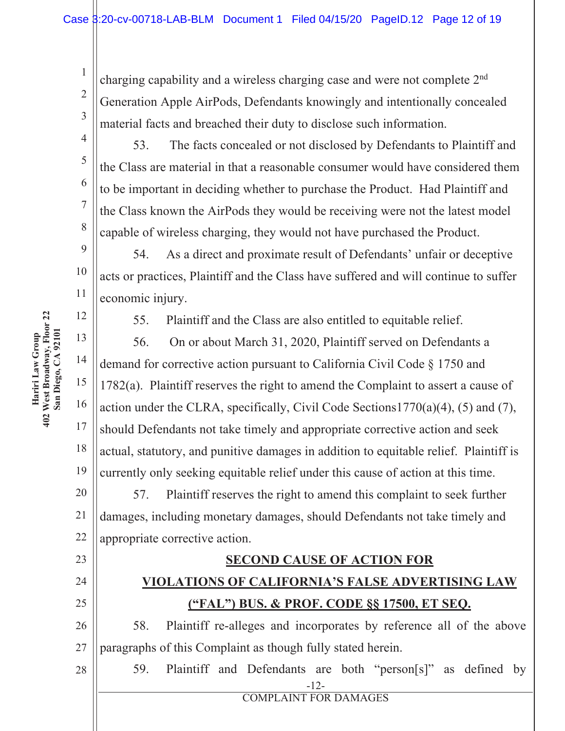charging capability and a wireless charging case and were not complete 2<sup>nd</sup> Generation Apple AirPods, Defendants knowingly and intentionally concealed material facts and breached their duty to disclose such information.

53. The facts concealed or not disclosed by Defendants to Plaintiff and the Class are material in that a reasonable consumer would have considered them to be important in deciding whether to purchase the Product. Had Plaintiff and the Class known the AirPods they would be receiving were not the latest model capable of wireless charging, they would not have purchased the Product.

9 10 11 54. As a direct and proximate result of Defendants' unfair or deceptive acts or practices, Plaintiff and the Class have suffered and will continue to suffer economic injury.

55. Plaintiff and the Class are also entitled to equitable relief.

13 14 15 16 17 18 19 56. On or about March 31, 2020, Plaintiff served on Defendants a demand for corrective action pursuant to California Civil Code  $\S 1750$  and 1782(a). Plaintiff reserves the right to amend the Complaint to assert a cause of action under the CLRA, specifically, Civil Code Sections  $1770(a)(4)$ , (5) and (7), should Defendants not take timely and appropriate corrective action and seek actual, statutory, and punitive damages in addition to equitable relief. Plaintiff is currently only seeking equitable relief under this cause of action at this time.

20 21 22 57. Plaintiff reserves the right to amend this complaint to seek further damages, including monetary damages, should Defendants not take timely and appropriate corrective action.

### **SECOND CAUSE OF ACTION FOR**

## *YIOLATIONS OF CALIFORNIA'S FALSE ADVERTISING LAW* ("FAL") BUS. & PROF. CODE §§ 17500, ET SEQ.

26 27 58. Plaintiff re-alleges and incorporates by reference all of the above paragraphs of this Complaint as though fully stated herein.

28

23

24

25

 $-12-$ **COMPLAINT FOR DAMAGES** 

59. Plaintiff and Defendants are both "person[s]" as defined by

Hariri Law Group 402 West Broadway, **Floor 22 San Diego,** A 92101

 $\mathbf{1}$ 

 $\overline{2}$ 

3

 $\overline{4}$ 

5

6

 $\overline{7}$ 

8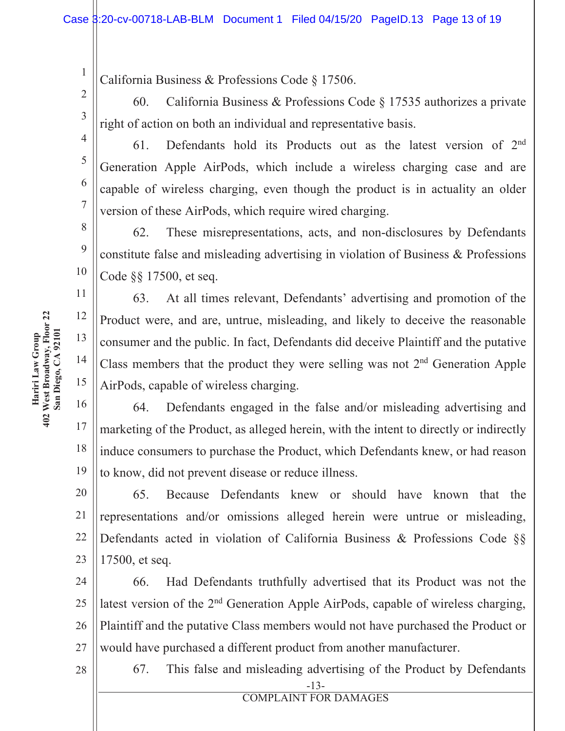California Business & Professions Code § 17506.

60. California Business & Professions Code  $\S 17535$  authorizes a private right of action on both an individual and representative basis.

61. Defendants hold its Products out as the latest version of  $2<sup>nd</sup>$ Generation Apple AirPods, which include a wireless charging case and are capable of wireless charging, even though the product is in actuality an older version of these AirPods, which require wired charging.

62. These misrepresentations, acts, and non-disclosures by Defendants constitute false and misleading advertising in violation of Business & Professions Code  $\S$ § 17500, et seq.

63. At all times relevant, Defendants' advertising and promotion of the Product were, and are, untrue, misleading, and likely to deceive the reasonable consumer and the public. In fact, Defendants did deceive Plaintiff and the putative Class members that the product they were selling was not  $2<sup>nd</sup>$  Generation Apple AirPods, capable of wireless charging.

16 17 18 19 64. Defendants engaged in the false and/or misleading advertising and marketing of the Product, as alleged herein, with the intent to directly or indirectly induce consumers to purchase the Product, which Defendants knew, or had reason to know, did not prevent disease or reduce illness.

20 21 22 23 65. Because Defendants knew or should have known that the representations and/or omissions alleged herein were untrue or misleading, Defendants acted in violation of California Business & Professions Code  $\S$ 17500, et seq.

24 25 26 27 66. Had Defendants truthfully advertised that its Product was not the latest version of the 2<sup>nd</sup> Generation Apple AirPods, capable of wireless charging, Plaintiff and the putative Class members would not have purchased the Product or would have purchased a different product from another manufacturer.

28

 $-13-$ 67. This false and misleading advertising of the Product by Defendants

 $\mathbf{1}$ 

 $\overline{2}$ 

3

 $\overline{4}$ 

5

6

 $\tau$ 

8

9

10

11

12

13

14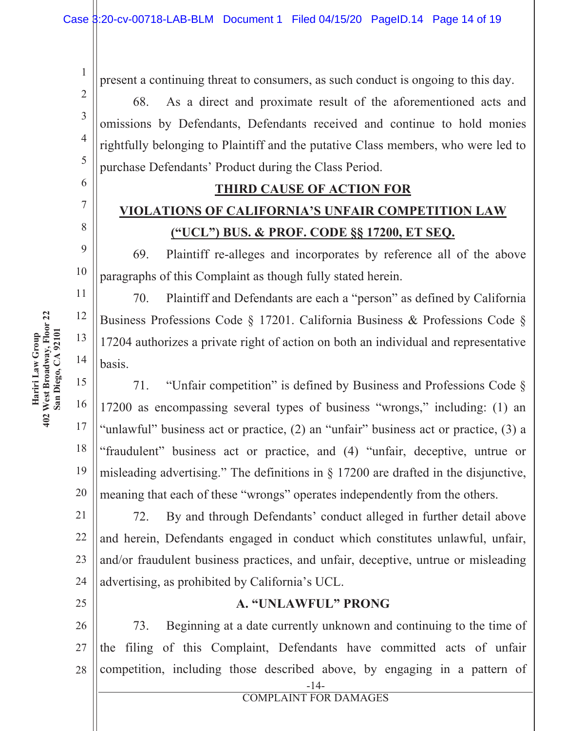present a continuing threat to consumers, as such conduct is ongoing to this day.

68. As a direct and proximate result of the aforementioned acts and omissions by Defendants, Defendants received and continue to hold monies rightfully belonging to Plaintiff and the putative Class members, who were led to purchase Defendants' Product during the Class Period.

### **THIRD CAUSE OF ACTION FOR**

## **YIOLATIONS OF CALIFORNIA'S UNFAIR COMPETITION LAW** <u>("UCL") BUS. & PROF. CODE §§ 17200, ET SEQ.</u>

69. Plaintiff re-alleges and incorporates by reference all of the above paragraphs of this Complaint as though fully stated herein.

70. Plaintiff and Defendants are each a "person" as defined by California Business Professions Code § 17201. California Business & Professions Code § 17204 authorizes a private right of action on both an individual and representative basis.

71. "Unfair competition" is defined by Business and Professions Code  $\delta$ 17200 as encompassing several types of business "wrongs," including: (1) an "unlawful" business act or practice,  $(2)$  an "unfair" business act or practice,  $(3)$  a "fraudulent" business act or practice, and (4) "unfair, deceptive, untrue or misleading advertising." The definitions in  $\S$  17200 are drafted in the disjunctive, meaning that each of these "wrongs" operates independently from the others.

21 22 23 24 72. By and through Defendants' conduct alleged in further detail above and herein, Defendants engaged in conduct which constitutes unlawful, unfair, and/or fraudulent business practices, and unfair, deceptive, untrue or misleading advertising, as prohibited by California's UCL.

25

### **A. "UNLAWFUL" PRONG**

26 27 28 73. Beginning at a date currently unknown and continuing to the time of the filing of this Complaint, Defendants have committed acts of unfair competition, including those described above, by engaging in a pattern of

Hariri Law Group<br>402 West Broadway, Floor 22 **Floor 22** A 92101 Hariri Law Group 402 West Broadway,  **San Diego,**   $\mathbf{1}$ 

 $\overline{2}$ 

3

 $\overline{4}$ 

5

6

 $\tau$ 

8

9

10

11

12

13

14

15

16

17

18

19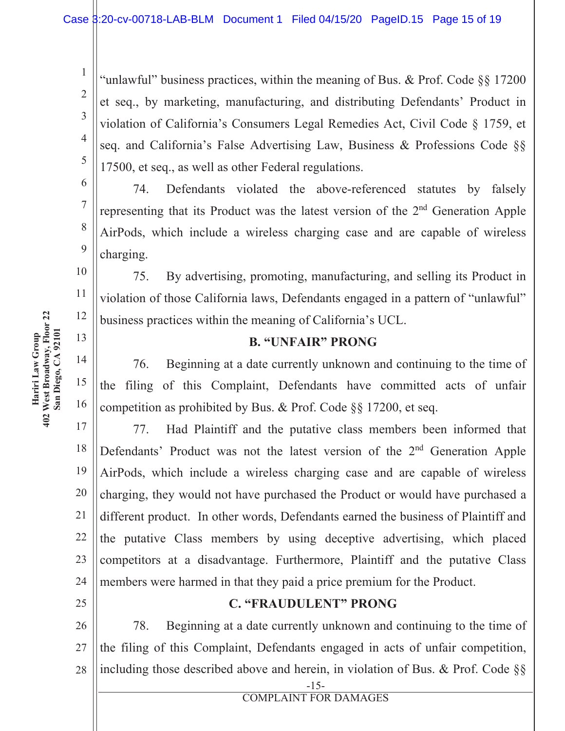"unlawful" business practices, within the meaning of Bus. & Prof. Code  $\S\S 17200$ et seq., by marketing, manufacturing, and distributing Defendants' Product in violation of California's Consumers Legal Remedies Act, Civil Code § 1759, et seq. and California's False Advertising Law, Business & Professions Code §§ 17500, et seq., as well as other Federal regulations.

74. Defendants violated the above-referenced statutes by falsely representing that its Product was the latest version of the  $2<sup>nd</sup>$  Generation Apple AirPods, which include a wireless charging case and are capable of wireless charging.

75. By advertising, promoting, manufacturing, and selling its Product in violation of those California laws, Defendants engaged in a pattern of "unlawful" business practices within the meaning of California's UCL.

### **B. "UNFAIR" PRONG**

14 15 16 76. Beginning at a date currently unknown and continuing to the time of the filing of this Complaint, Defendants have committed acts of unfair competition as prohibited by Bus. & Prof. Code  $\S\S 17200$ , et seq.

17 18 19 20 21 22 23 24 77. Had Plaintiff and the putative class members been informed that Defendants' Product was not the latest version of the 2<sup>nd</sup> Generation Apple AirPods, which include a wireless charging case and are capable of wireless charging, they would not have purchased the Product or would have purchased a different product. In other words, Defendants earned the business of Plaintiff and the putative Class members by using deceptive advertising, which placed competitors at a disadvantage. Furthermore, Plaintiff and the putative Class members were harmed in that they paid a price premium for the Product.

**C. "FRAUDULENT" PRONG** 

26 27 28 78. Beginning at a date currently unknown and continuing to the time of the filing of this Complaint, Defendants engaged in acts of unfair competition, including those described above and herein, in violation of Bus. & Prof. Code  $\S$ 

> $-15-$ **COMPLAINT FOR DAMAGES**

 $\mathbf{1}$ 

 $\overline{2}$ 

3

 $\overline{4}$ 

5

6

 $\overline{7}$ 

8

9

10

11

12

13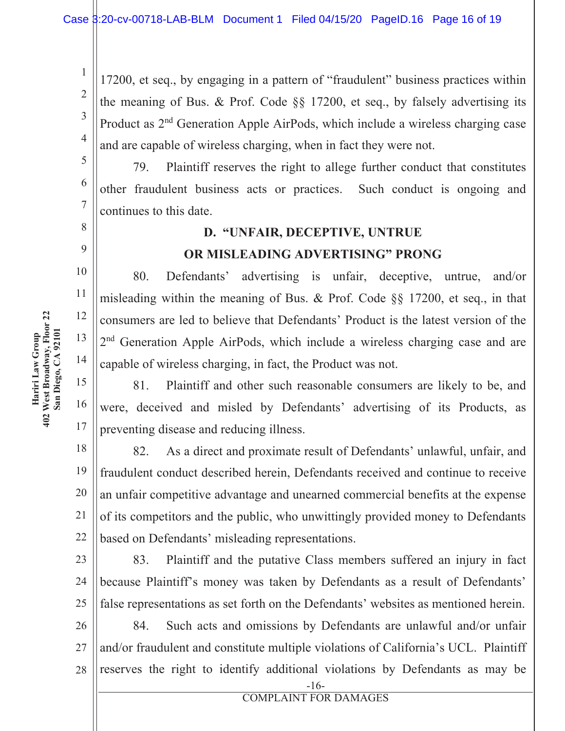17200, et seq., by engaging in a pattern of "fraudulent" business practices within the meaning of Bus. & Prof. Code  $\S$ § 17200, et seq., by falsely advertising its Product as 2<sup>nd</sup> Generation Apple AirPods, which include a wireless charging case and are capable of wireless charging, when in fact they were not.

79. Plaintiff reserves the right to allege further conduct that constitutes other fraudulent business acts or practices. Such conduct is ongoing and continues to this date.

# **D. "UNFAIR, DECEPTIVE, UNTRUE OR MISLEADING ADVERTISING" PRONG**

80. Defendants' advertising is unfair, deceptive, untrue, and/or misleading within the meaning of Bus. & Prof. Code  $\S$ § 17200, et seq., in that consumers are led to believe that Defendants' Product is the latest version of the 2<sup>nd</sup> Generation Apple AirPods, which include a wireless charging case and are capable of wireless charging, in fact, the Product was not.

15 16 81. Plaintiff and other such reasonable consumers are likely to be, and were, deceived and misled by Defendants' advertising of its Products, as preventing disease and reducing illness.

18 19 20 21 22 82. As a direct and proximate result of Defendants' unlawful, unfair, and fraudulent conduct described herein, Defendants received and continue to receive an unfair competitive advantage and unearned commercial benefits at the expense of its competitors and the public, who unwittingly provided money to Defendants based on Defendants' misleading representations.

23 24 25 83. Plaintiff and the putative Class members suffered an injury in fact because Plaintiff's money was taken by Defendants as a result of Defendants' false representations as set forth on the Defendants' websites as mentioned herein.

26 27 28 84. Such acts and omissions by Defendants are unlawful and/or unfair and/or fraudulent and constitute multiple violations of California's UCL. Plaintiff reserves the right to identify additional violations by Defendants as may be

 $\mathbf{1}$ 

 $\overline{2}$ 

3

 $\overline{4}$ 

5

6

 $\overline{7}$ 

8

9

10

11

12

13

14

17

 $-16-$ **COMPLAINT FOR DAMAGES**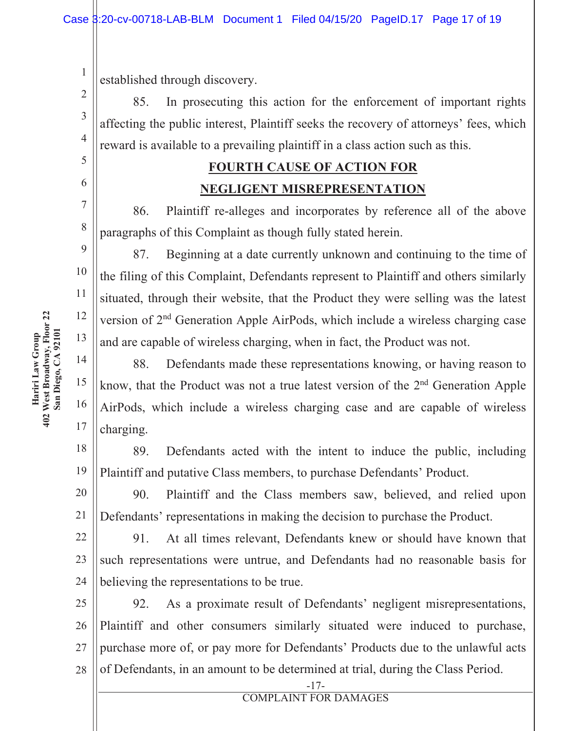established through discovery.

85. In prosecuting this action for the enforcement of important rights affecting the public interest, Plaintiff seeks the recovery of attorneys' fees, which reward is available to a prevailing plaintiff in a class action such as this.

## **FOURTH CAUSE OF ACTION FOR NEGLIGENT MISREPRESENTATION**

86. Plaintiff re-alleges and incorporates by reference all of the above paragraphs of this Complaint as though fully stated herein.

87. Beginning at a date currently unknown and continuing to the time of the filing of this Complaint, Defendants represent to Plaintiff and others similarly situated, through their website, that the Product they were selling was the latest version of 2<sup>nd</sup> Generation Apple AirPods, which include a wireless charging case and are capable of wireless charging, when in fact, the Product was not.

88. Defendants made these representations knowing, or having reason to know, that the Product was not a true latest version of the 2<sup>nd</sup> Generation Apple AirPods, which include a wireless charging case and are capable of wireless charging.

18 19 89. Defendants acted with the intent to induce the public, including Plaintiff and putative Class members, to purchase Defendants' Product.

20 21 90. Plaintiff and the Class members saw, believed, and relied upon Defendants' representations in making the decision to purchase the Product.

22 23 24 91. At all times relevant, Defendants knew or should have known that such representations were untrue, and Defendants had no reasonable basis for believing the representations to be true.

25 26 27 28 92. As a proximate result of Defendants' negligent misrepresentations, Plaintiff and other consumers similarly situated were induced to purchase, purchase more of, or pay more for Defendants' Products due to the unlawful acts of Defendants, in an amount to be determined at trial, during the Class Period.

 $\mathbf{1}$ 

 $\overline{2}$ 

3

 $\overline{4}$ 

5

6

 $\tau$ 

8

9

10

11

12

13

14

15

16

```
-17-COMPLAINT FOR DAMAGES
```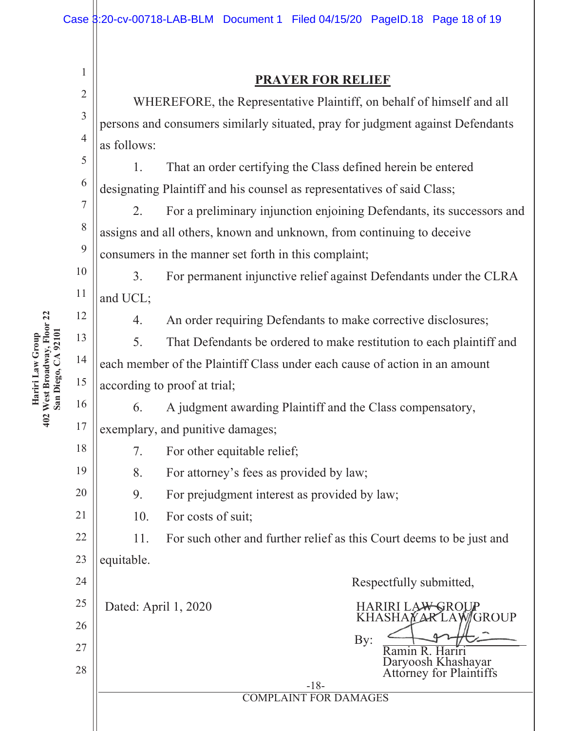| 1              | <b>PRAYER FOR RELIEF</b>                                                       |                                                              |  |  |  |  |  |  |
|----------------|--------------------------------------------------------------------------------|--------------------------------------------------------------|--|--|--|--|--|--|
| $\overline{2}$ | WHEREFORE, the Representative Plaintiff, on behalf of himself and all          |                                                              |  |  |  |  |  |  |
| 3              | persons and consumers similarly situated, pray for judgment against Defendants |                                                              |  |  |  |  |  |  |
| $\overline{4}$ | as follows:                                                                    |                                                              |  |  |  |  |  |  |
| 5              | 1.                                                                             | That an order certifying the Class defined herein be entered |  |  |  |  |  |  |
| 6              | designating Plaintiff and his counsel as representatives of said Class;        |                                                              |  |  |  |  |  |  |
| 7              | For a preliminary injunction enjoining Defendants, its successors and<br>2.    |                                                              |  |  |  |  |  |  |
| 8              | assigns and all others, known and unknown, from continuing to deceive          |                                                              |  |  |  |  |  |  |
| 9              | consumers in the manner set forth in this complaint;                           |                                                              |  |  |  |  |  |  |
| 10             | For permanent injunctive relief against Defendants under the CLRA<br>3.        |                                                              |  |  |  |  |  |  |
| 11             | and UCL;                                                                       |                                                              |  |  |  |  |  |  |
| 12             | An order requiring Defendants to make corrective disclosures;<br>4.            |                                                              |  |  |  |  |  |  |
| 13             | 5.<br>That Defendants be ordered to make restitution to each plaintiff and     |                                                              |  |  |  |  |  |  |
| 14             | each member of the Plaintiff Class under each cause of action in an amount     |                                                              |  |  |  |  |  |  |
| 15             | according to proof at trial;                                                   |                                                              |  |  |  |  |  |  |
| 16             | A judgment awarding Plaintiff and the Class compensatory,<br>6.                |                                                              |  |  |  |  |  |  |
| 17             | exemplary, and punitive damages;                                               |                                                              |  |  |  |  |  |  |
| 18             | 7. For other equitable relief;                                                 |                                                              |  |  |  |  |  |  |
| 19             | 8.<br>For attorney's fees as provided by law;                                  |                                                              |  |  |  |  |  |  |
| 20             | 9.<br>For prejudgment interest as provided by law;                             |                                                              |  |  |  |  |  |  |
| 21             | For costs of suit;<br>10.                                                      |                                                              |  |  |  |  |  |  |
| 22             | 11.<br>For such other and further relief as this Court deems to be just and    |                                                              |  |  |  |  |  |  |
| 23             | equitable.                                                                     |                                                              |  |  |  |  |  |  |
| 24             |                                                                                | Respectfully submitted,                                      |  |  |  |  |  |  |
| 25             | Dated: April 1, 2020<br><b>HARIRI LAWGROUP</b><br>KHASHAYARLAWGROUP            |                                                              |  |  |  |  |  |  |
| 26             |                                                                                | By:                                                          |  |  |  |  |  |  |
| 27             |                                                                                | Ramin R. Hariri<br>Daryoosh Khashayar                        |  |  |  |  |  |  |
| 28             |                                                                                | <b>Attorney for Plaintiffs</b><br>$-18-$                     |  |  |  |  |  |  |
|                | <b>COMPLAINT FOR DAMAGES</b>                                                   |                                                              |  |  |  |  |  |  |
|                |                                                                                |                                                              |  |  |  |  |  |  |

# Hariri Law Group 402 West Broadway, **Floor 22 San Diego,** A 92101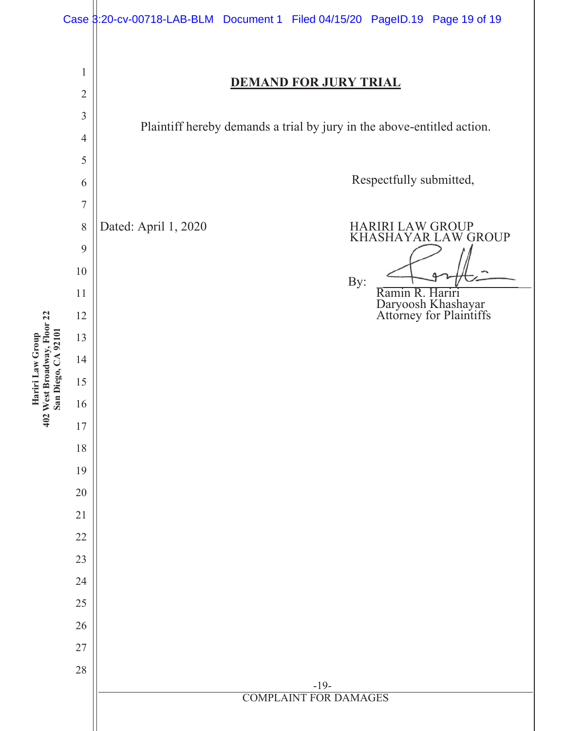